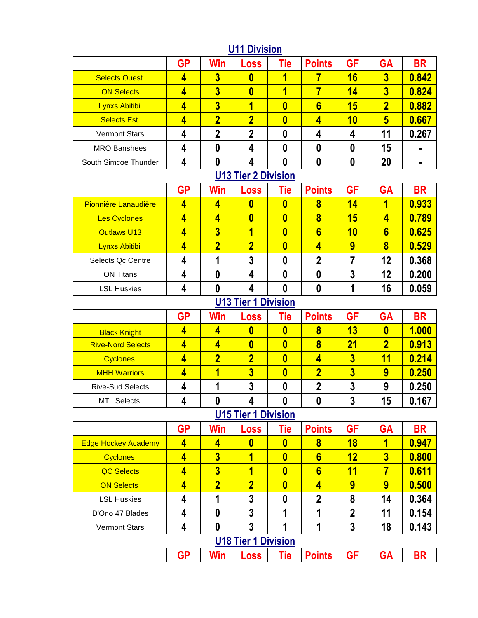|                      | <b>GP</b> | Win                     | Loss                    | Tie     | <b>Points</b>   | <b>GF</b> | <b>GA</b>               | <b>BR</b> |
|----------------------|-----------|-------------------------|-------------------------|---------|-----------------|-----------|-------------------------|-----------|
| <b>Selects Ouest</b> | 4         | 3                       | 0                       |         |                 | 16        | $\overline{\mathbf{3}}$ | 0.842     |
| <b>ON Selects</b>    | 4         | $\overline{\mathbf{3}}$ | $\bf{0}$                |         |                 | 14        | 3                       | 0.824     |
| <b>Lynxs Abitibi</b> | 4         | $\overline{\mathbf{3}}$ |                         |         | $6\phantom{1}6$ | 15        | $\overline{\mathbf{2}}$ | 0.882     |
| <b>Selects Est</b>   | 4         | $\overline{\mathbf{2}}$ | $\overline{\mathbf{2}}$ | 0       | 4               | 10        | 5                       | 0.667     |
| <b>Vermont Stars</b> | 4         | 2                       | າ                       |         | 4               |           | 11                      | 0.267     |
| <b>MRO Banshees</b>  | 4         |                         | 4                       |         | O               | 0         | 15                      |           |
| South Simcoe Thunder | 4         |                         |                         |         |                 | 0         | 20                      |           |
|                      |           | $1140 \pm 1$            |                         | 0.01111 |                 |           |                         |           |

#### **U11 Division**

#### **U13 Tier 2 Division**

|                             | <b>GP</b> | Win                     | <b>Loss</b> | Tie | <b>Points</b>  | GF | <b>GA</b>       | <b>BR</b> |
|-----------------------------|-----------|-------------------------|-------------|-----|----------------|----|-----------------|-----------|
| <b>Pionnière Lanaudière</b> |           |                         |             | 0   | 8              | 14 |                 | 0.933     |
| <b>Les Cyclones</b>         | 4         |                         | 0           |     | 8              | 15 |                 | 0.789     |
| <b>Outlaws U13</b>          | 4         | $\overline{\mathbf{3}}$ |             |     | $6\phantom{a}$ | 10 | $6\phantom{1}6$ | 0.625     |
| Lynxs Abitibi               | 4         |                         | 2           |     |                | 9  | 8               | 0.529     |
| Selects Qc Centre           |           |                         | 3           |     | 2              |    | 12              | 0.368     |
| <b>ON Titans</b>            |           |                         |             |     |                | כי | 12              | 0.200     |
| <b>LSL Huskies</b>          |           |                         |             |     |                |    | 16              | 0.059     |

### **U13 Tier 1 Division**

|                          | GP | Win                     | <b>Loss</b> | Tie | <b>Points</b> | <b>GF</b> | <b>GA</b>               | BR    |
|--------------------------|----|-------------------------|-------------|-----|---------------|-----------|-------------------------|-------|
| <b>Black Knight</b>      | 4  |                         | 0           |     | 8             | 13        | 0                       | 1.000 |
| <b>Rive-Nord Selects</b> | 4  |                         | 0           |     | 8             | 21        | $\overline{\mathbf{2}}$ | 0.913 |
| <b>Cyclones</b>          | 4  | $\overline{\mathbf{2}}$ | 2           |     |               | 3         | 11                      | 0.214 |
| <b>MHH Warriors</b>      | 4  |                         | 3           |     |               | 3         | 9                       | 0.250 |
| <b>Rive-Sud Selects</b>  | 4  |                         | 3           |     |               |           | 9                       | 0.250 |
| <b>MTL Selects</b>       | 4  |                         |             |     |               | כי        | 15                      | 0.167 |

# **U15 Tier 1 Division**

|                            | <b>GP</b> | Win                     | Loss           | Tie      | <b>Points</b>  | <b>GF</b>      | <b>GA</b>               | <b>BR</b> |  |  |
|----------------------------|-----------|-------------------------|----------------|----------|----------------|----------------|-------------------------|-----------|--|--|
| <b>Edge Hockey Academy</b> | 4         | 4                       | 0              | $\bf{0}$ | 8              | 18             |                         | 0.947     |  |  |
| <b>Cyclones</b>            | 4         | $\overline{\mathbf{3}}$ |                | $\bf{0}$ | $6\phantom{a}$ | 12             | $\overline{\mathbf{3}}$ | 0.800     |  |  |
| <b>QC Selects</b>          | 4         | $\overline{\mathbf{3}}$ |                | $\bf{0}$ | $6\phantom{a}$ | 11             |                         | 0.611     |  |  |
| <b>ON Selects</b>          | 4         | $\overline{\mathbf{2}}$ | $\overline{2}$ | $\bf{0}$ | 4              | 9              | 9                       | 0.500     |  |  |
| <b>LSL Huskies</b>         | 4         |                         | 3              | 0        | $\mathbf 2$    | 8              | 14                      | 0.364     |  |  |
| D'Ono 47 Blades            | 4         | 0                       | 3              |          |                | $\overline{2}$ | 11                      | 0.154     |  |  |
| <b>Vermont Stars</b>       | 4         | 0                       | 3              |          |                | 3              | 18                      | 0.143     |  |  |
| <b>U18 Tier 1 Division</b> |           |                         |                |          |                |                |                         |           |  |  |
|                            | GP        | Win                     | Loss           | Tie      | <b>Points</b>  | GF             | GΑ                      | <b>BR</b> |  |  |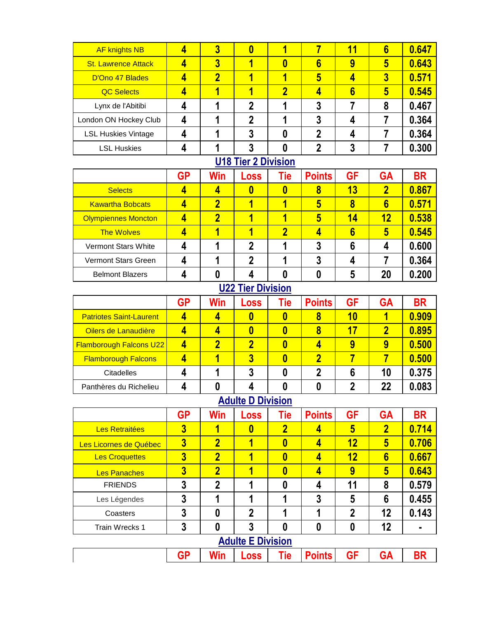| <b>AF knights NB</b>       | 4 | 3                       | 0 |   |   | 11 | 6                       | 0.647 |
|----------------------------|---|-------------------------|---|---|---|----|-------------------------|-------|
| <b>St. Lawrence Attack</b> |   | $\overline{\mathbf{3}}$ |   | 0 | 6 | 9  | 5                       | 0.643 |
| D'Ono 47 Blades            | 4 | $\overline{2}$          |   |   | 5 |    | $\overline{\mathbf{3}}$ | 0.571 |
| <b>QC Selects</b>          |   |                         |   | 2 |   | 6  | 5                       | 0.545 |
| Lynx de l'Abitibi          |   |                         | 2 |   | 3 |    | 8                       | 0.467 |
| London ON Hockey Club      | 4 |                         | 2 |   | ŋ |    |                         | 0.364 |
| <b>LSL Huskies Vintage</b> |   |                         | 3 |   | n |    |                         | 0.364 |
| <b>LSL Huskies</b>         |   |                         |   |   |   |    |                         | 0.300 |

#### **U18 Tier 2 Division**

|                            | <b>GP</b> | Win | Loss | Tie | <b>Points</b> | GF | <b>GA</b>               | <b>BR</b> |
|----------------------------|-----------|-----|------|-----|---------------|----|-------------------------|-----------|
| <b>Selects</b>             | 4         |     |      |     | 8             | 13 | $\overline{\mathbf{2}}$ | 0.867     |
| <b>Kawartha Bobcats</b>    | 4         | 2   |      |     | 5             | 8  | 6                       | 0.571     |
| <b>Olympiennes Moncton</b> | 4         | 2   |      |     | 5             | 14 | 12                      | 0.538     |
| <b>The Wolves</b>          | 4         |     |      |     |               | 6  | 5                       | 0.545     |
| Vermont Stars White        | 4         |     | מ    |     | 3             | 6  | 4                       | 0.600     |
| <b>Vermont Stars Green</b> | 4         |     |      |     |               |    |                         | 0.364     |
| <b>Belmont Blazers</b>     | 4         |     |      |     |               |    | 20                      | 0.200     |

# **U22 Tier Division**

|                                | GP | Win          | <b>Loss</b> | Tie | <b>Points</b> | <b>GF</b> | GA | <b>BR</b> |
|--------------------------------|----|--------------|-------------|-----|---------------|-----------|----|-----------|
| <b>Patriotes Saint-Laurent</b> | 4  |              |             |     | 8             | 10        |    | 0.909     |
| Oilers de Lanaudière           | 4  |              |             |     | 8             | 17        |    | 0.895     |
| <b>Flamborough Falcons U22</b> | 4  | $\mathbf{p}$ | ∩           |     |               |           | 9  | 0.500     |
| <b>Flamborough Falcons</b>     |    |              |             |     |               |           |    | 0.500     |
| <b>Citadelles</b>              |    |              |             |     |               |           | 10 | 0.375     |
| Panthères du Richelieu         |    |              |             |     |               |           | 22 | 0.083     |

## **Adulte D Division**

|                          | <b>GP</b>               | Win            | <b>Loss</b>    | Tie                     | <b>Points</b> | <b>GF</b>      | <b>GA</b>       | <b>BR</b> |  |  |
|--------------------------|-------------------------|----------------|----------------|-------------------------|---------------|----------------|-----------------|-----------|--|--|
| Les Retraitées           | $\overline{\mathbf{3}}$ | 1              | $\bf{0}$       | $\overline{\mathbf{2}}$ | 4             | 5              | $\overline{2}$  | 0.714     |  |  |
| Les Licornes de Québec   | $\overline{\mathbf{3}}$ | $\overline{2}$ | 4              | $\bf{0}$                | 4             | 12             | 5               | 0.706     |  |  |
| <b>Les Croquettes</b>    | $\overline{3}$          | $\overline{2}$ | ۹              | $\bf{0}$                | 4             | 12             | $6\phantom{1}6$ | 0.667     |  |  |
| <b>Les Panaches</b>      | $\overline{3}$          | $\overline{2}$ | 1              | $\bf{0}$                | 4             | 9              | 5               | 0.643     |  |  |
| <b>FRIENDS</b>           | 3                       | $\mathbf{2}$   | 1              | 0                       | 4             | 11             | 8               | 0.579     |  |  |
| Les Légendes             | 3                       |                | 1              | 1                       | 3             | 5              | 6               | 0.455     |  |  |
| Coasters                 | 3                       | $\bf{0}$       | $\overline{2}$ | 1                       | и             | $\overline{2}$ | 12              | 0.143     |  |  |
| Train Wrecks 1           | 3                       | 0              | 3              | 0                       | 0             | 0              | 12              |           |  |  |
| <b>Adulte E Division</b> |                         |                |                |                         |               |                |                 |           |  |  |
|                          | GP                      | Win            | Loss           | Tie                     | <b>Points</b> | <b>GF</b>      | GΑ              | BR        |  |  |